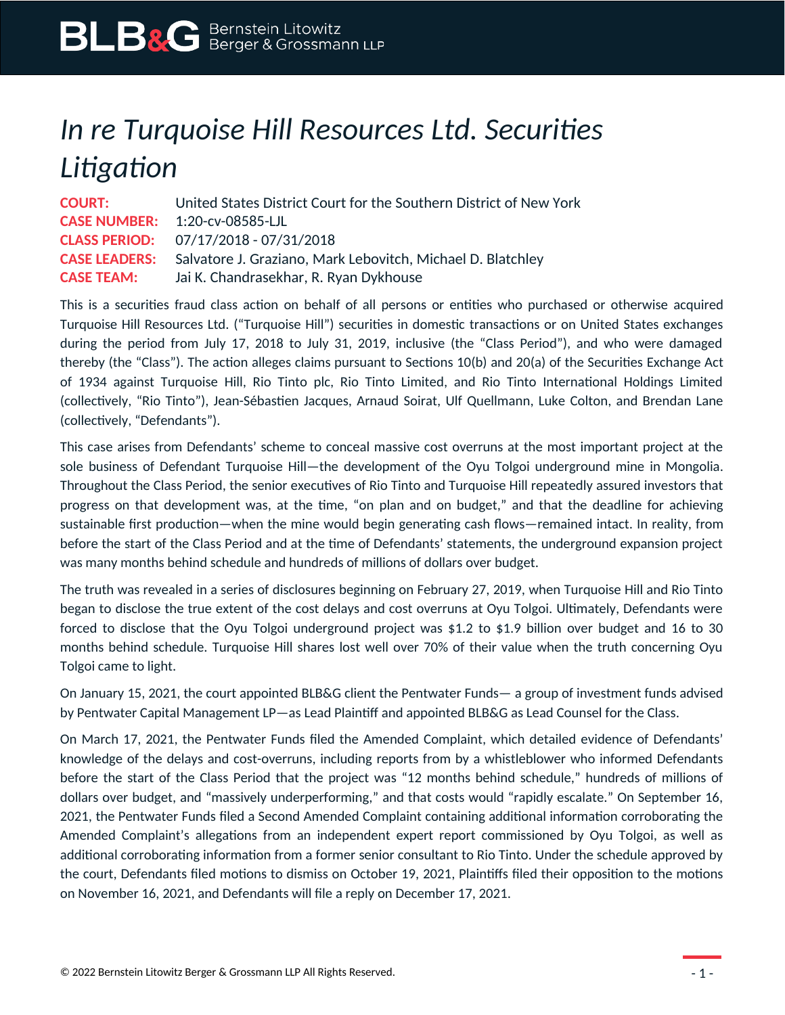## *In re Turquoise Hill Resources Ltd. Securities Litigation*

**COURT:** United States District Court for the Southern District of New York **CASE NUMBER:** 1:20-cv-08585-LJL **CLASS PERIOD:** 07/17/2018 - 07/31/2018 **CASE LEADERS:** Salvatore J. Graziano, Mark Lebovitch, Michael D. Blatchley **CASE TEAM:** Jai K. Chandrasekhar, R. Ryan Dykhouse

This is a securities fraud class action on behalf of all persons or entities who purchased or otherwise acquired Turquoise Hill Resources Ltd. ("Turquoise Hill") securities in domestic transactions or on United States exchanges during the period from July 17, 2018 to July 31, 2019, inclusive (the "Class Period"), and who were damaged thereby (the "Class"). The action alleges claims pursuant to Sections 10(b) and 20(a) of the Securities Exchange Act of 1934 against Turquoise Hill, Rio Tinto plc, Rio Tinto Limited, and Rio Tinto International Holdings Limited (collectively, "Rio Tinto"), Jean-Sébastien Jacques, Arnaud Soirat, Ulf Quellmann, Luke Colton, and Brendan Lane (collectively, "Defendants").

This case arises from Defendants' scheme to conceal massive cost overruns at the most important project at the sole business of Defendant Turquoise Hill—the development of the Oyu Tolgoi underground mine in Mongolia. Throughout the Class Period, the senior executives of Rio Tinto and Turquoise Hill repeatedly assured investors that progress on that development was, at the time, "on plan and on budget," and that the deadline for achieving sustainable first production—when the mine would begin generating cash flows—remained intact. In reality, from before the start of the Class Period and at the time of Defendants' statements, the underground expansion project was many months behind schedule and hundreds of millions of dollars over budget.

The truth was revealed in a series of disclosures beginning on February 27, 2019, when Turquoise Hill and Rio Tinto began to disclose the true extent of the cost delays and cost overruns at Oyu Tolgoi. Ultimately, Defendants were forced to disclose that the Oyu Tolgoi underground project was \$1.2 to \$1.9 billion over budget and 16 to 30 months behind schedule. Turquoise Hill shares lost well over 70% of their value when the truth concerning Oyu Tolgoi came to light.

On January 15, 2021, the court appointed BLB&G client the Pentwater Funds— a group of investment funds advised by Pentwater Capital Management LP—as Lead Plaintiff and appointed BLB&G as Lead Counsel for the Class.

On March 17, 2021, the Pentwater Funds filed the Amended Complaint, which detailed evidence of Defendants' knowledge of the delays and cost-overruns, including reports from by a whistleblower who informed Defendants before the start of the Class Period that the project was "12 months behind schedule," hundreds of millions of dollars over budget, and "massively underperforming," and that costs would "rapidly escalate." On September 16, 2021, the Pentwater Funds filed a Second Amended Complaint containing additional information corroborating the Amended Complaint's allegations from an independent expert report commissioned by Oyu Tolgoi, as well as additional corroborating information from a former senior consultant to Rio Tinto. Under the schedule approved by the court, Defendants filed motions to dismiss on October 19, 2021, Plaintiffs filed their opposition to the motions on November 16, 2021, and Defendants will file a reply on December 17, 2021.